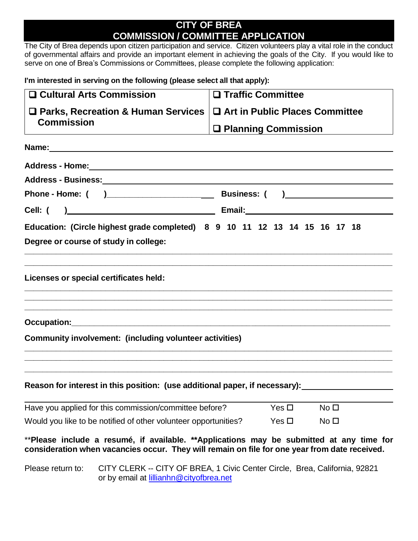# **CITY OF BREA COMMISSION / COMMITTEE APPLICATION**

The City of Brea depends upon citizen participation and service. Citizen volunteers play a vital role in the conduct of governmental affairs and provide an important element in achieving the goals of the City. If you would like to serve on one of Brea's Commissions or Committees, please complete the following application:

**I'm interested in serving on the following (please select all that apply):** 

|                                                                 | □ Cultural Arts Commission                                                                                                                                                                | □ Traffic Committee              |                 |
|-----------------------------------------------------------------|-------------------------------------------------------------------------------------------------------------------------------------------------------------------------------------------|----------------------------------|-----------------|
| □ Parks, Recreation & Human Services                            |                                                                                                                                                                                           | □ Art in Public Places Committee |                 |
| <b>Commission</b>                                               |                                                                                                                                                                                           | □ Planning Commission            |                 |
|                                                                 | Name: Name:                                                                                                                                                                               |                                  |                 |
|                                                                 |                                                                                                                                                                                           |                                  |                 |
|                                                                 | Address - Business: National Address - National Address - National Address - National Address - National Address                                                                          |                                  |                 |
|                                                                 |                                                                                                                                                                                           |                                  |                 |
|                                                                 |                                                                                                                                                                                           |                                  |                 |
|                                                                 | Education: (Circle highest grade completed) 8 9 10 11 12 13 14 15 16 17 18                                                                                                                |                                  |                 |
|                                                                 | Degree or course of study in college:                                                                                                                                                     |                                  |                 |
|                                                                 |                                                                                                                                                                                           |                                  |                 |
|                                                                 | Licenses or special certificates held:                                                                                                                                                    |                                  |                 |
|                                                                 | ,我们也不能在这里的时候,我们也不能在这里的时候,我们也不能在这里的时候,我们也不能会不能会不能会不能会不能会不能会不能会。""我们的人们也不能会不能会不能会不                                                                                                          |                                  |                 |
|                                                                 |                                                                                                                                                                                           |                                  |                 |
|                                                                 | Community involvement: (including volunteer activities)                                                                                                                                   |                                  |                 |
|                                                                 |                                                                                                                                                                                           |                                  |                 |
|                                                                 |                                                                                                                                                                                           |                                  |                 |
|                                                                 | Reason for interest in this position: (use additional paper, if necessary):                                                                                                               |                                  |                 |
|                                                                 | Have you applied for this commission/committee before?                                                                                                                                    | Yes $\Box$                       | No <sub>1</sub> |
| Would you like to be notified of other volunteer opportunities? |                                                                                                                                                                                           | Yes $\Box$                       | No <sub>1</sub> |
|                                                                 |                                                                                                                                                                                           |                                  |                 |
|                                                                 | **Please include a resumé, if available. **Applications may be submitted at any time for<br>consideration when vacancies occur. They will remain on file for one year from date received. |                                  |                 |
| Please return to:                                               | CITY CLERK -- CITY OF BREA, 1 Civic Center Circle, Brea, California, 92821<br>or by email at lillianhn@cityofbrea.net                                                                     |                                  |                 |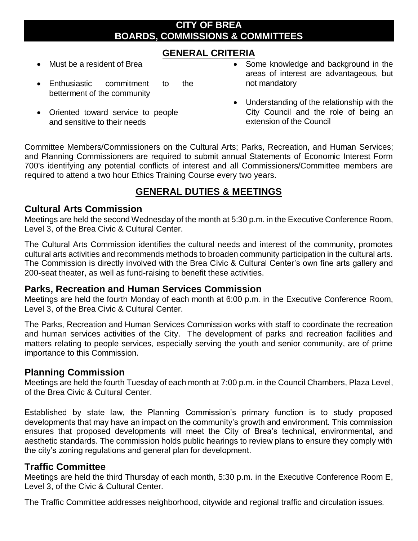## **CITY OF BREA BOARDS, COMMISSIONS & COMMITTEES**

## **GENERAL CRITERIA**

- Must be a resident of Brea
- Enthusiastic commitment to the betterment of the community
- Oriented toward service to people and sensitive to their needs
- Some knowledge and background in the areas of interest are advantageous, but not mandatory
- Understanding of the relationship with the City Council and the role of being an extension of the Council

Committee Members/Commissioners on the Cultural Arts; Parks, Recreation, and Human Services; and Planning Commissioners are required to submit annual Statements of Economic Interest Form 700's identifying any potential conflicts of interest and all Commissioners/Committee members are required to attend a two hour Ethics Training Course every two years.

## **GENERAL DUTIES & MEETINGS**

#### **Cultural Arts Commission**

Meetings are held the second Wednesday of the month at 5:30 p.m. in the Executive Conference Room, Level 3, of the Brea Civic & Cultural Center.

The Cultural Arts Commission identifies the cultural needs and interest of the community, promotes cultural arts activities and recommends methods to broaden community participation in the cultural arts. The Commission is directly involved with the Brea Civic & Cultural Center's own fine arts gallery and 200-seat theater, as well as fund-raising to benefit these activities.

#### **Parks, Recreation and Human Services Commission**

Meetings are held the fourth Monday of each month at 6:00 p.m. in the Executive Conference Room, Level 3, of the Brea Civic & Cultural Center.

The Parks, Recreation and Human Services Commission works with staff to coordinate the recreation and human services activities of the City. The development of parks and recreation facilities and matters relating to people services, especially serving the youth and senior community, are of prime importance to this Commission.

#### **Planning Commission**

Meetings are held the fourth Tuesday of each month at 7:00 p.m. in the Council Chambers, Plaza Level, of the Brea Civic & Cultural Center.

Established by state law, the Planning Commission's primary function is to study proposed developments that may have an impact on the community's growth and environment. This commission ensures that proposed developments will meet the City of Brea's technical, environmental, and aesthetic standards. The commission holds public hearings to review plans to ensure they comply with the city's zoning regulations and general plan for development.

#### **Traffic Committee**

Meetings are held the third Thursday of each month, 5:30 p.m. in the Executive Conference Room E, Level 3, of the Civic & Cultural Center.

The Traffic Committee addresses neighborhood, citywide and regional traffic and circulation issues.